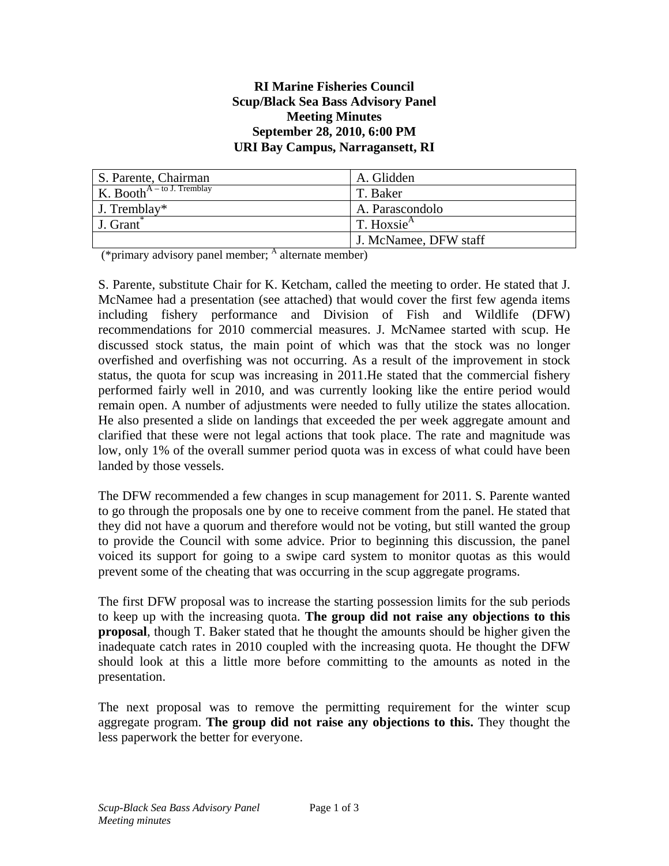#### **RI Marine Fisheries Council Scup/Black Sea Bass Advisory Panel Meeting Minutes September 28, 2010, 6:00 PM URI Bay Campus, Narragansett, RI**

| S. Parente, Chairman          | A. Glidden                                 |
|-------------------------------|--------------------------------------------|
| K. Booth $A$ – to J. Tremblay | T. Baker                                   |
| J. Tremblay*                  | A. Parascondolo                            |
| J. Grant                      | $\mid$ T. Hoxsie <sup><math>A</math></sup> |
|                               | J. McNamee, DFW staff                      |

(\*primary advisory panel member;  $\frac{A}{A}$  alternate member)

S. Parente, substitute Chair for K. Ketcham, called the meeting to order. He stated that J. McNamee had a presentation (see attached) that would cover the first few agenda items including fishery performance and Division of Fish and Wildlife (DFW) recommendations for 2010 commercial measures. J. McNamee started with scup. He discussed stock status, the main point of which was that the stock was no longer overfished and overfishing was not occurring. As a result of the improvement in stock status, the quota for scup was increasing in 2011.He stated that the commercial fishery performed fairly well in 2010, and was currently looking like the entire period would remain open. A number of adjustments were needed to fully utilize the states allocation. He also presented a slide on landings that exceeded the per week aggregate amount and clarified that these were not legal actions that took place. The rate and magnitude was low, only 1% of the overall summer period quota was in excess of what could have been landed by those vessels.

The DFW recommended a few changes in scup management for 2011. S. Parente wanted to go through the proposals one by one to receive comment from the panel. He stated that they did not have a quorum and therefore would not be voting, but still wanted the group to provide the Council with some advice. Prior to beginning this discussion, the panel voiced its support for going to a swipe card system to monitor quotas as this would prevent some of the cheating that was occurring in the scup aggregate programs.

The first DFW proposal was to increase the starting possession limits for the sub periods to keep up with the increasing quota. **The group did not raise any objections to this proposal**, though T. Baker stated that he thought the amounts should be higher given the inadequate catch rates in 2010 coupled with the increasing quota. He thought the DFW should look at this a little more before committing to the amounts as noted in the presentation.

The next proposal was to remove the permitting requirement for the winter scup aggregate program. **The group did not raise any objections to this.** They thought the less paperwork the better for everyone.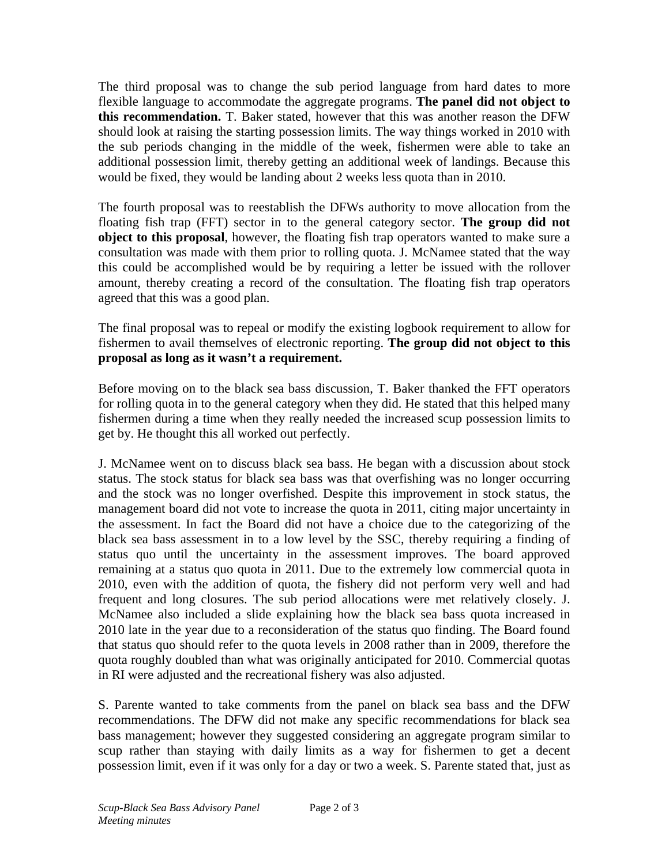The third proposal was to change the sub period language from hard dates to more flexible language to accommodate the aggregate programs. **The panel did not object to this recommendation.** T. Baker stated, however that this was another reason the DFW should look at raising the starting possession limits. The way things worked in 2010 with the sub periods changing in the middle of the week, fishermen were able to take an additional possession limit, thereby getting an additional week of landings. Because this would be fixed, they would be landing about 2 weeks less quota than in 2010.

The fourth proposal was to reestablish the DFWs authority to move allocation from the floating fish trap (FFT) sector in to the general category sector. **The group did not object to this proposal**, however, the floating fish trap operators wanted to make sure a consultation was made with them prior to rolling quota. J. McNamee stated that the way this could be accomplished would be by requiring a letter be issued with the rollover amount, thereby creating a record of the consultation. The floating fish trap operators agreed that this was a good plan.

The final proposal was to repeal or modify the existing logbook requirement to allow for fishermen to avail themselves of electronic reporting. **The group did not object to this proposal as long as it wasn't a requirement.** 

Before moving on to the black sea bass discussion, T. Baker thanked the FFT operators for rolling quota in to the general category when they did. He stated that this helped many fishermen during a time when they really needed the increased scup possession limits to get by. He thought this all worked out perfectly.

J. McNamee went on to discuss black sea bass. He began with a discussion about stock status. The stock status for black sea bass was that overfishing was no longer occurring and the stock was no longer overfished. Despite this improvement in stock status, the management board did not vote to increase the quota in 2011, citing major uncertainty in the assessment. In fact the Board did not have a choice due to the categorizing of the black sea bass assessment in to a low level by the SSC, thereby requiring a finding of status quo until the uncertainty in the assessment improves. The board approved remaining at a status quo quota in 2011. Due to the extremely low commercial quota in 2010, even with the addition of quota, the fishery did not perform very well and had frequent and long closures. The sub period allocations were met relatively closely. J. McNamee also included a slide explaining how the black sea bass quota increased in 2010 late in the year due to a reconsideration of the status quo finding. The Board found that status quo should refer to the quota levels in 2008 rather than in 2009, therefore the quota roughly doubled than what was originally anticipated for 2010. Commercial quotas in RI were adjusted and the recreational fishery was also adjusted.

S. Parente wanted to take comments from the panel on black sea bass and the DFW recommendations. The DFW did not make any specific recommendations for black sea bass management; however they suggested considering an aggregate program similar to scup rather than staying with daily limits as a way for fishermen to get a decent possession limit, even if it was only for a day or two a week. S. Parente stated that, just as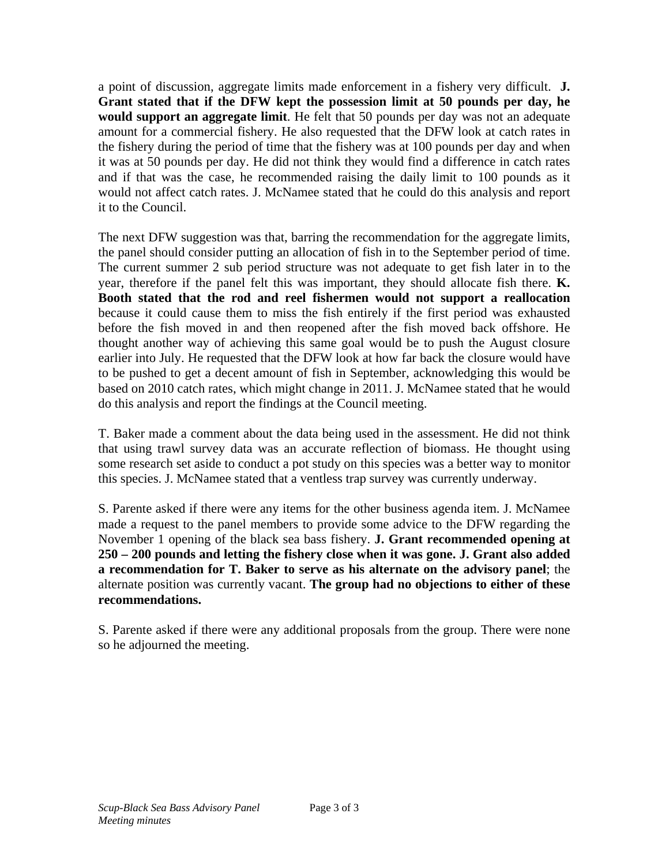a point of discussion, aggregate limits made enforcement in a fishery very difficult. **J. Grant stated that if the DFW kept the possession limit at 50 pounds per day, he would support an aggregate limit**. He felt that 50 pounds per day was not an adequate amount for a commercial fishery. He also requested that the DFW look at catch rates in the fishery during the period of time that the fishery was at 100 pounds per day and when it was at 50 pounds per day. He did not think they would find a difference in catch rates and if that was the case, he recommended raising the daily limit to 100 pounds as it would not affect catch rates. J. McNamee stated that he could do this analysis and report it to the Council.

The next DFW suggestion was that, barring the recommendation for the aggregate limits, the panel should consider putting an allocation of fish in to the September period of time. The current summer 2 sub period structure was not adequate to get fish later in to the year, therefore if the panel felt this was important, they should allocate fish there. **K. Booth stated that the rod and reel fishermen would not support a reallocation** because it could cause them to miss the fish entirely if the first period was exhausted before the fish moved in and then reopened after the fish moved back offshore. He thought another way of achieving this same goal would be to push the August closure earlier into July. He requested that the DFW look at how far back the closure would have to be pushed to get a decent amount of fish in September, acknowledging this would be based on 2010 catch rates, which might change in 2011. J. McNamee stated that he would do this analysis and report the findings at the Council meeting.

T. Baker made a comment about the data being used in the assessment. He did not think that using trawl survey data was an accurate reflection of biomass. He thought using some research set aside to conduct a pot study on this species was a better way to monitor this species. J. McNamee stated that a ventless trap survey was currently underway.

S. Parente asked if there were any items for the other business agenda item. J. McNamee made a request to the panel members to provide some advice to the DFW regarding the November 1 opening of the black sea bass fishery. **J. Grant recommended opening at 250 – 200 pounds and letting the fishery close when it was gone. J. Grant also added a recommendation for T. Baker to serve as his alternate on the advisory panel**; the alternate position was currently vacant. **The group had no objections to either of these recommendations.** 

S. Parente asked if there were any additional proposals from the group. There were none so he adjourned the meeting.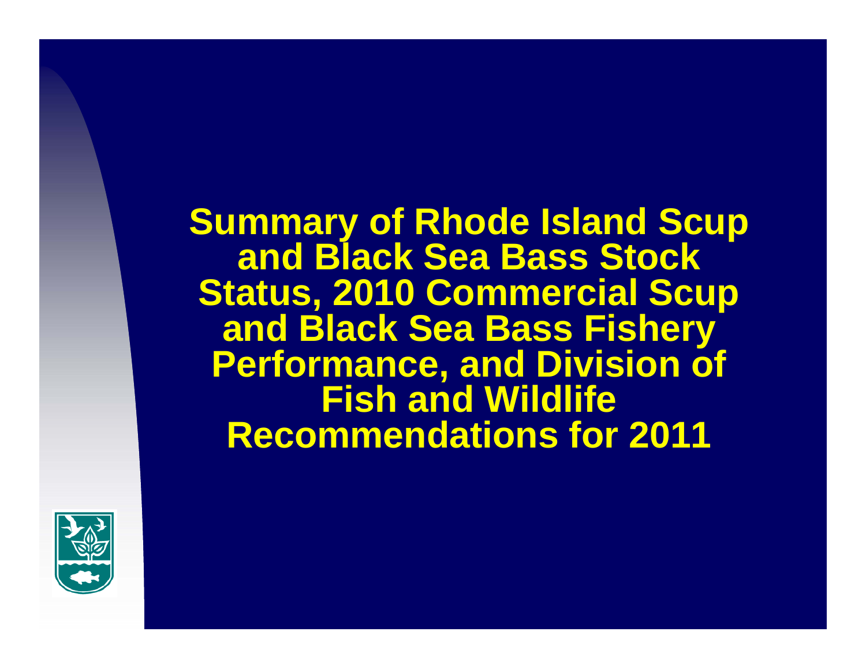**Summary of Rhode Island Scup and Black Sea Bass Stock Status, 2010 Commercial Scup and Black Sea Bass Fishery Performance, and Division of Fish and Wildlife Recommendations for 2011**

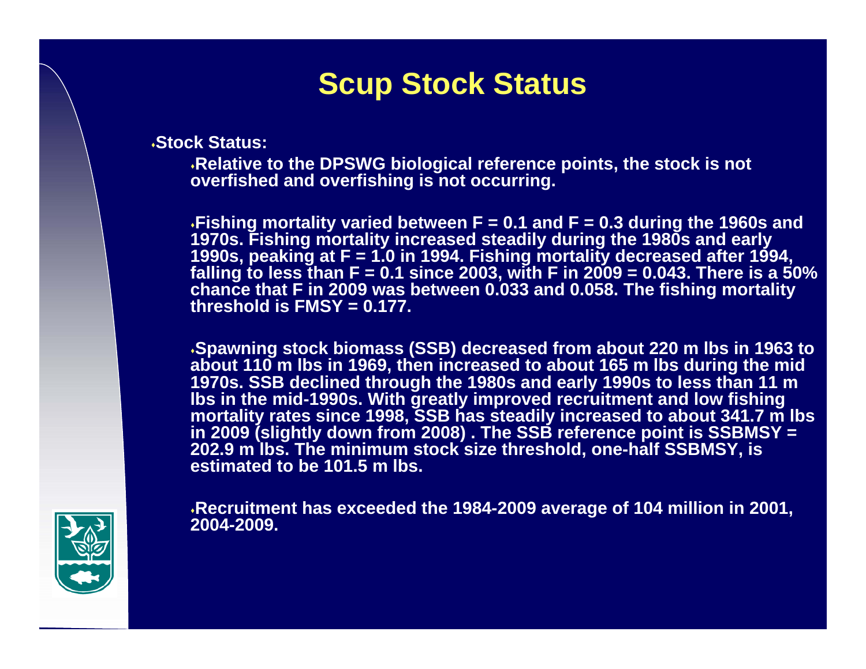# **Scup Stock Status**

**Stock Status:**

**Relative to the DPSWG biological reference points, the stock is not overfished and overfishing is not occurring.** 

**Fishing mortality varied between F = 0.1 and F = 0.3 during the 1960s and 1970s. Fishing mortality increased steadily during the 1980s and early 1990s, peaking at F = 1.0 in 1994. Fishing mortality decreased after 1994, falling to less than F = 0.1 since 2003, with F in 2009 = 0.043. There is a 50% chance that F in 2009 was between 0.033 and 0.058. The fishing mortality threshold is FMSY = 0.177.**

**Spawning stock biomass (SSB) decreased from about 220 m lbs in 1963 to about 110 m lbs in 1969, then increased to about 165 m lbs during the mid 1970s. SSB declined through the 1980s and early 1990s to less than 11 m lbs in the mid-1990s. With greatly improved recruitment and low fishing mortality rates since 1998, SSB has steadily increased to about 341.7 m lbs in 2009 (slightly down from 2008) . The SSB reference point is SSBMSY = 202.9 m lbs. The minimum stock size threshold, one-half SSBMSY, is estimated to be 101.5 m lbs.**

**Recruitment has exceeded the 1984-2009 average of 104 million in 2001, 2004-2009.**

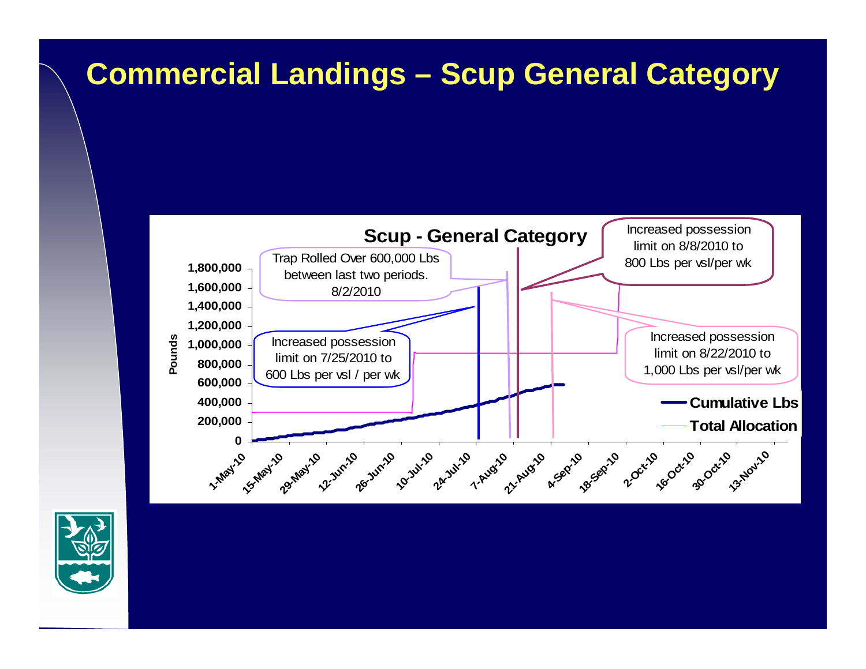# **Commercial Landings – Scup General Category**



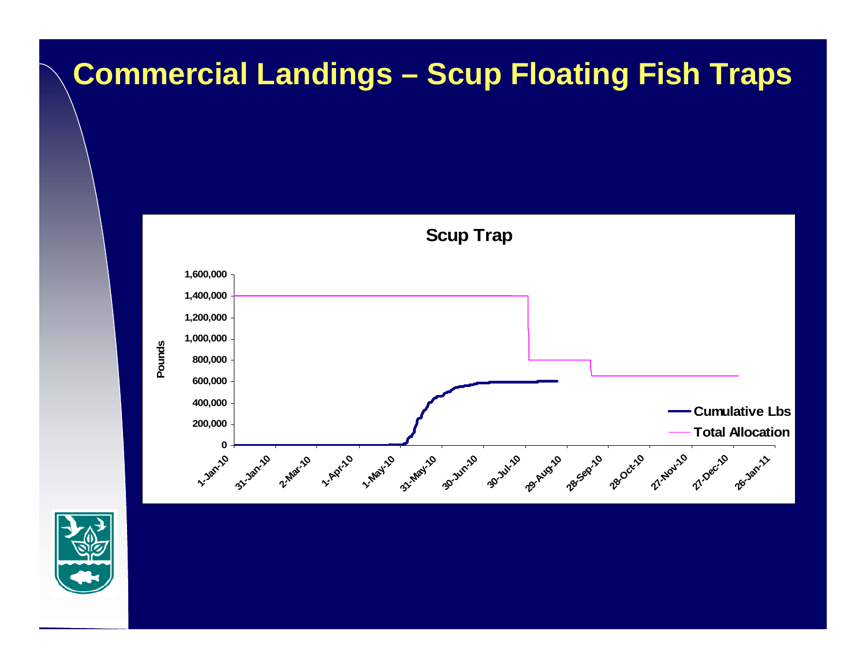# **Commercial Landings – Scup Floating Fish Traps**



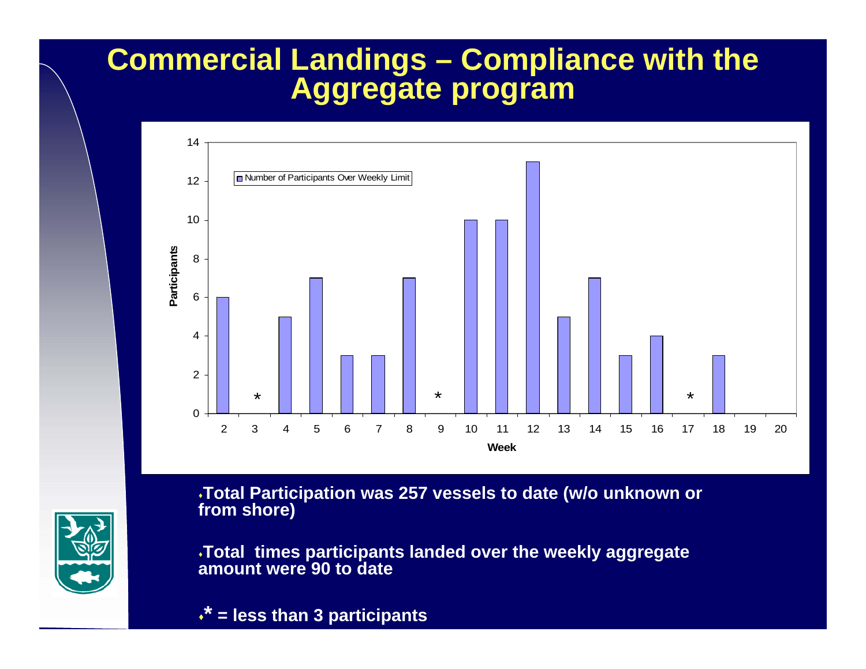## **Commercial Landings – Compliance with the Aggregate program**



**Total Participation was 257 vessels to date (w/o unknown or from shore)**

**Total times participants landed over the weekly aggregate amount were 90 to date**

**\* = less than 3 participants**

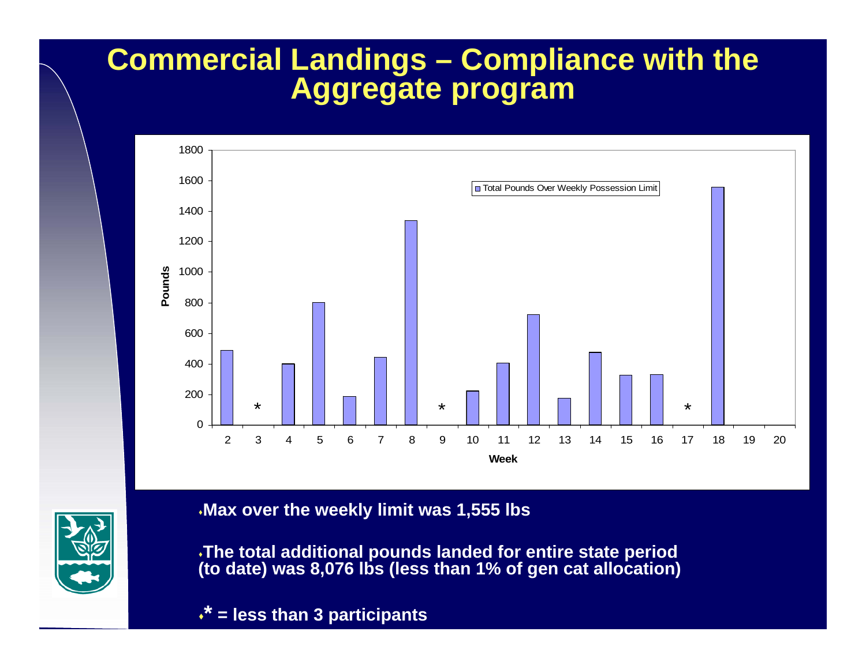## **Commercial Landings – Compliance with the Aggregate program**





**Max over the weekly limit was 1,555 lbs**

**The total additional pounds landed for entire state period (to date) was 8,076 lbs (less than 1% of gen cat allocation)**

**\* = less than 3 participants**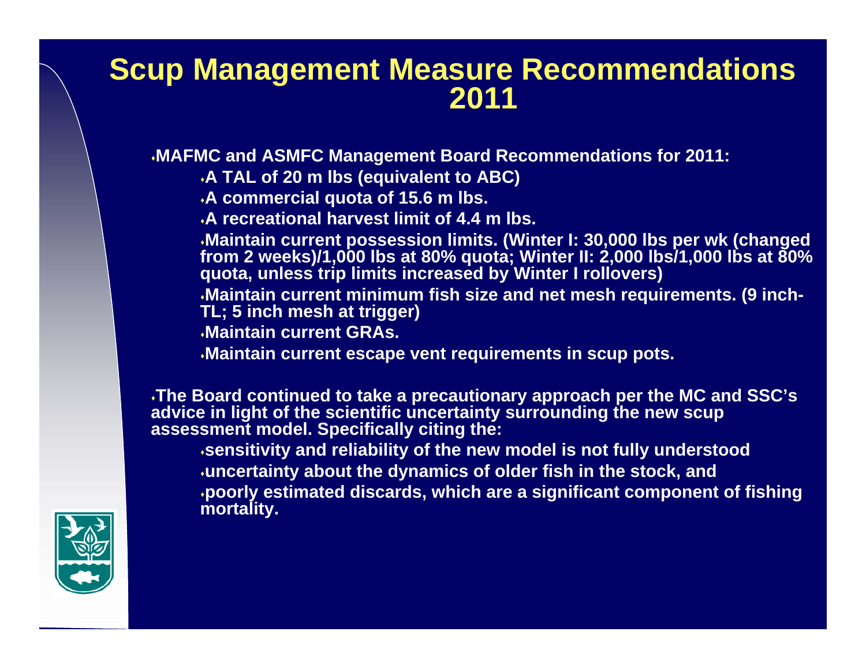#### **Scup Management Measure Recommendations 2011**

**MAFMC and ASMFC Management Board Recommendations for 2011:**

- **A TAL of 20 m lbs (equivalent to ABC)**
- **A commercial quota of 15.6 m lbs.**
- **A recreational harvest limit of 4.4 m lbs.**

**Maintain current possession limits. (Winter I: 30,000 lbs per wk (changed from 2 weeks)/1,000 lbs at 80% quota; Winter II: 2,000 lbs/1,000 lbs at 80% quota, unless trip limits increased by Winter I rollovers)**

**Maintain current minimum fish size and net mesh requirements. (9 inch-TL; 5 inch mesh at trigger)**

- **Maintain current GRAs.**
- **Maintain current escape vent requirements in scup pots.**

**The Board continued to take a precautionary approach per the MC and SSC's advice in light of the scientific uncertainty surrounding the new scup assessment model. Specifically citing the:**

**sensitivity and reliability of the new model is not fully understood uncertainty about the dynamics of older fish in the stock, and poorly estimated discards, which are a significant component of fishing mortality.**

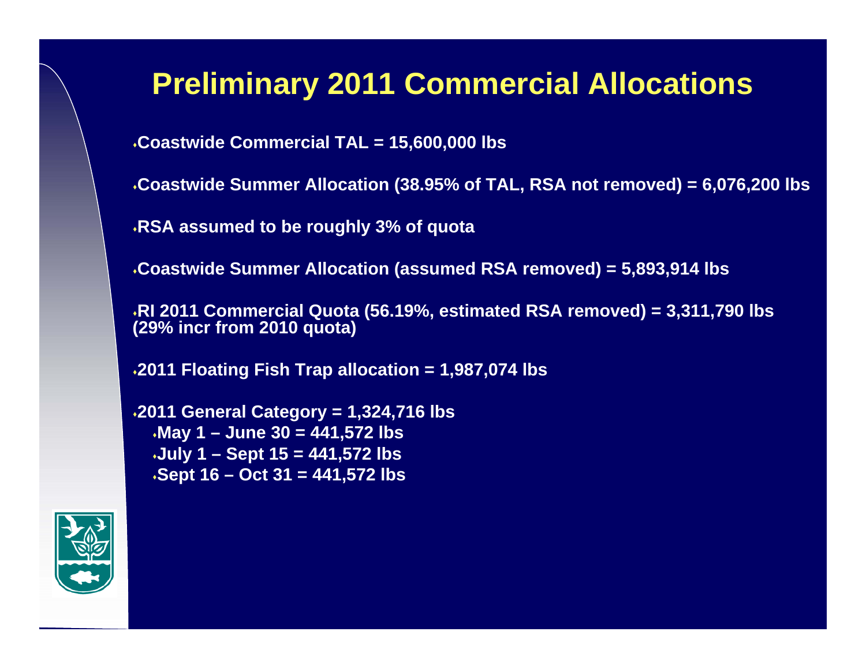# **Preliminary 2011 Commercial Allocations**

**Coastwide Commercial TAL = 15,600,000 lbs**

**Coastwide Summer Allocation (38.95% of TAL, RSA not removed) = 6,076,200 lbs**

**RSA assumed to be roughly 3% of quota**

**Coastwide Summer Allocation (assumed RSA removed) = 5,893,914 lbs**

**RI 2011 Commercial Quota (56.19%, estimated RSA removed) = 3,311,790 lbs (29% incr from 2010 quota)**

**2011 Floating Fish Trap allocation = 1,987,074 lbs**

**2011 General Category = 1,324,716 lbs May 1 – June 30 = 441,572 lbs July 1 – Sept 15 = 441,572 lbs Sept 16 – Oct 31 = 441,572 lbs**

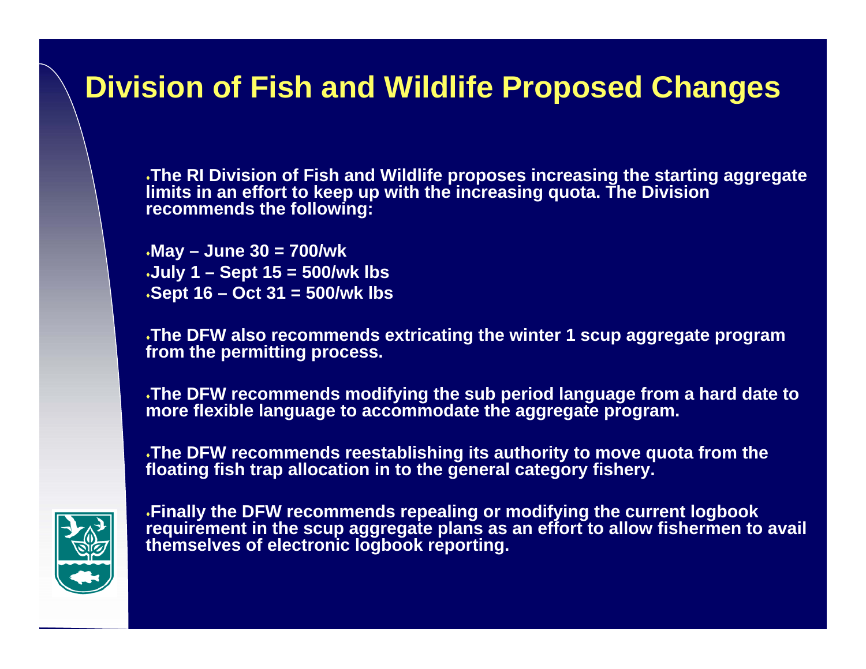## **Division of Fish and Wildlife Proposed Changes**

**The RI Division of Fish and Wildlife proposes increasing the starting aggregate limits in an effort to keep up with the increasing quota. The Division recommends the following:**

**May – June 30 = 700/wk July 1 – Sept 15 = 500/wk lbs Sept 16 – Oct 31 = 500/wk lbs**

**The DFW also recommends extricating the winter 1 scup aggregate program from the permitting process.**

**The DFW recommends modifying the sub period language from a hard date to more flexible language to accommodate the aggregate program.**

**The DFW recommends reestablishing its authority to move quota from the floating fish trap allocation in to the general category fishery.** 



**Finally the DFW recommends repealing or modifying the current logbook requirement in the scup aggregate plans as an effort to allow fishermen to avail themselves of electronic logbook reporting.**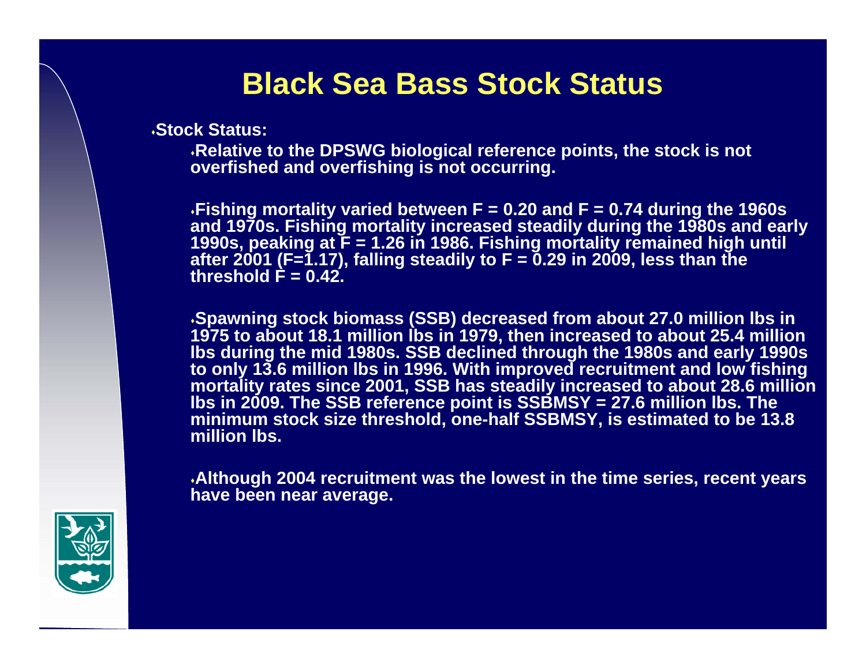#### **Black Sea Bass Stock Status**

**Stock Status:**

**Relative to the DPSWG biological reference points, the stock is not overfished and overfishing is not occurring.** 

**Fishing mortality varied between F = 0.20 and F = 0.74 during the 1960s and 1970s. Fishing mortality increased steadily during the 1980s and early 1990s, peaking at F = 1.26 in 1986. Fishing mortality remained high until after 2001 (F=1.17), falling steadily to F = 0.29 in 2009, less than the**  threshold  $\hat{F} = 0.42$ .

**Spawning stock biomass (SSB) decreased from about 27.0 million lbs in 1975 to about 18.1 million lbs in 1979, then increased to about 25.4 million lbs during the mid 1980s. SSB declined through the 1980s and early 1990s to only 13.6 million lbs in 1996. With improved recruitment and low fishing mortality rates since 2001, SSB has steadily increased to about 28.6 million lbs in 2009. The SSB reference point is SSBMSY = 27.6 million lbs. The minimum stock size threshold, one-half SSBMSY, is estimated to be 13.8 million lbs.** 

**Although 2004 recruitment was the lowest in the time series, recent years have been near average.** 

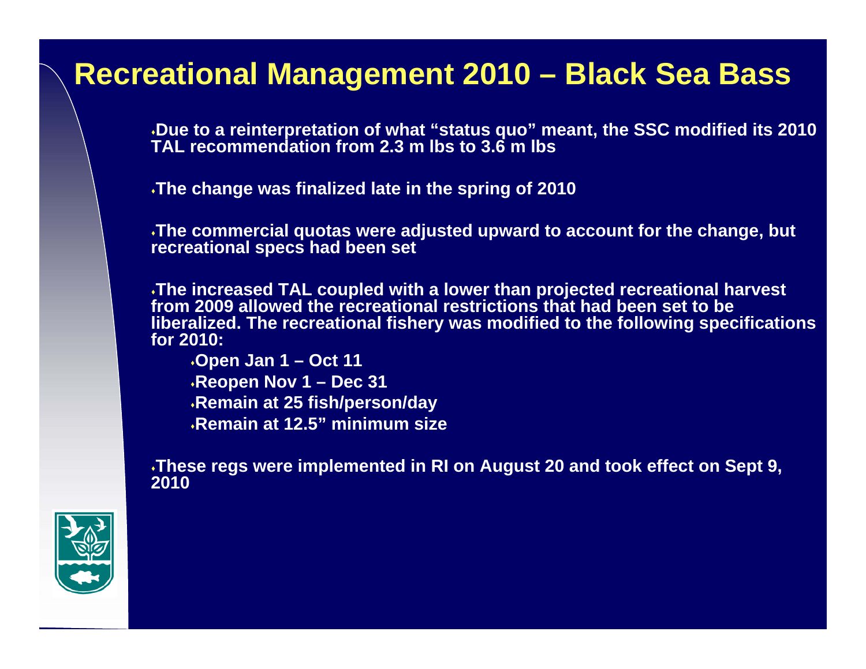#### **Recreational Management 2010 – Black Sea Bass**

**Due to a reinterpretation of what "status quo" meant, the SSC modified its 2010 TAL recommendation from 2.3 m lbs to 3.6 m lbs**

**The change was finalized late in the spring of 2010**

**The commercial quotas were adjusted upward to account for the change, but recreational specs had been set**

**The increased TAL coupled with a lower than projected recreational harvest from 2009 allowed the recreational restrictions that had been set to be liberalized. The recreational fishery was modified to the following specifications for 2010:**

**Open Jan 1 – Oct 11 Reopen Nov 1 – Dec 31 Remain at 25 fish/person/day Remain at 12.5" minimum size**

**These regs were implemented in RI on August 20 and took effect on Sept 9, 2010**

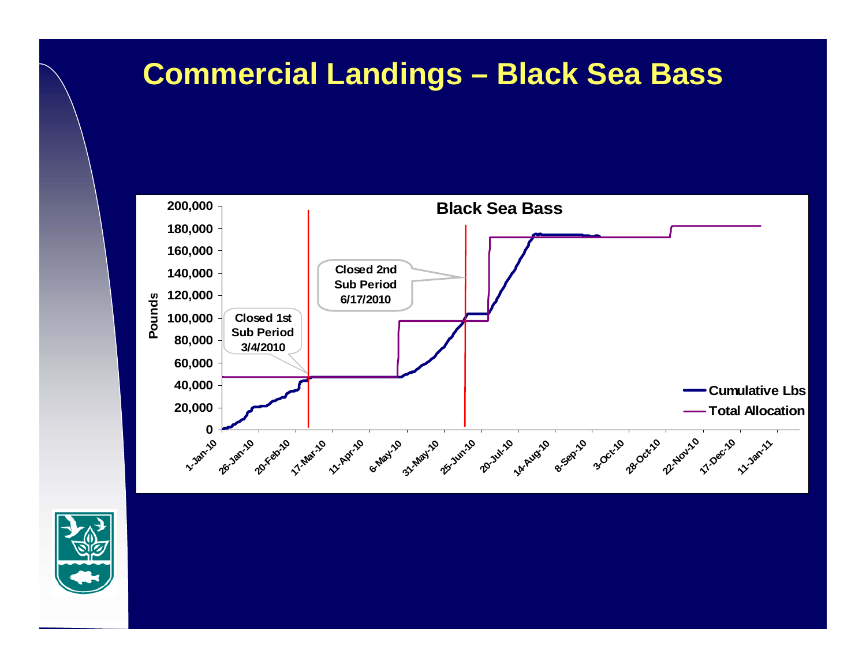## **Commercial Landings – Black Sea Bass**



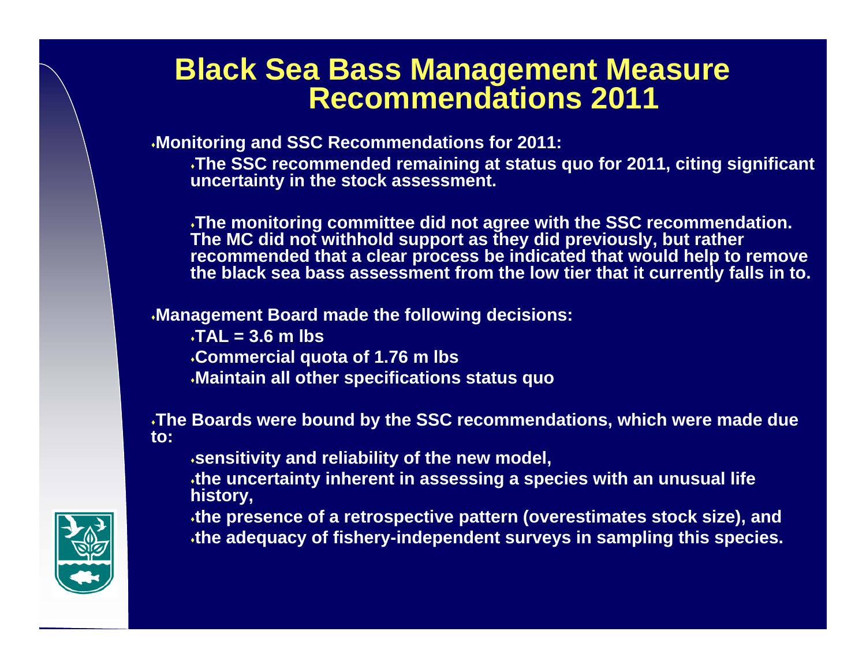#### **Black Sea Bass Management Measure Recommendations 2011**

**Monitoring and SSC Recommendations for 2011:**

**The SSC recommended remaining at status quo for 2011, citing significant uncertainty in the stock assessment.**

**The monitoring committee did not agree with the SSC recommendation. The MC did not withhold support as they did previously, but rather recommended that a clear process be indicated that would help to remove the black sea bass assessment from the low tier that it currently falls in to.**

**Management Board made the following decisions:**

**TAL = 3.6 m lbs Commercial quota of 1.76 m lbs Maintain all other specifications status quo**

**The Boards were bound by the SSC recommendations, which were made due to:**

**sensitivity and reliability of the new model,** 

**the uncertainty inherent in assessing a species with an unusual life history,**

**the presence of a retrospective pattern (overestimates stock size), and the adequacy of fishery-independent surveys in sampling this species.**

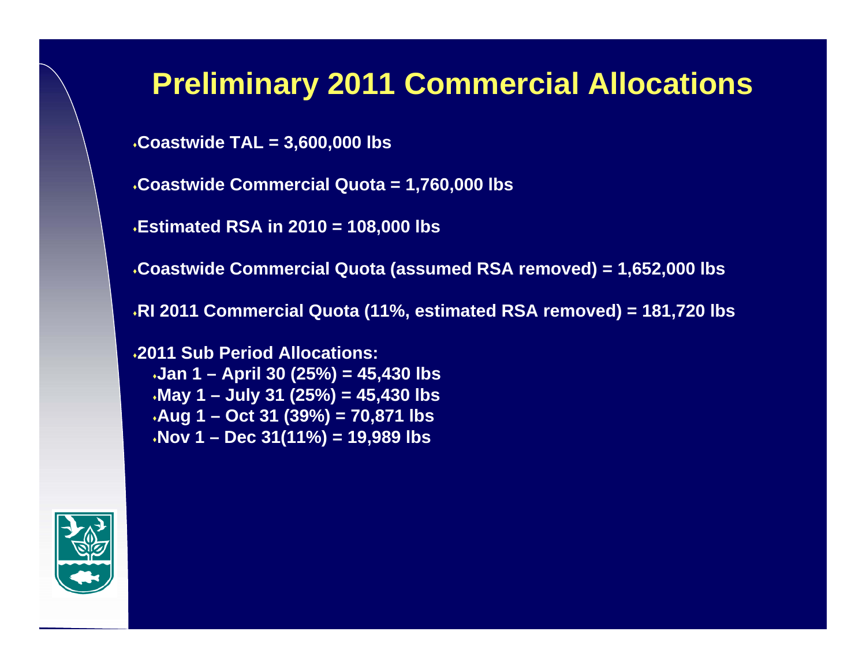## **Preliminary 2011 Commercial Allocations**

**Coastwide TAL = 3,600,000 lbs**

**Coastwide Commercial Quota = 1,760,000 lbs**

**Estimated RSA in 2010 = 108,000 lbs**

**Coastwide Commercial Quota (assumed RSA removed) = 1,652,000 lbs**

**RI 2011 Commercial Quota (11%, estimated RSA removed) = 181,720 lbs**

**2011 Sub Period Allocations:Jan 1 – April 30 (25%) = 45,430 lbs May 1 – July 31 (25%) = 45,430 lbs Aug 1 – Oct 31 (39%) = 70,871 lbs Nov 1 – Dec 31(11%) = 19,989 lbs**